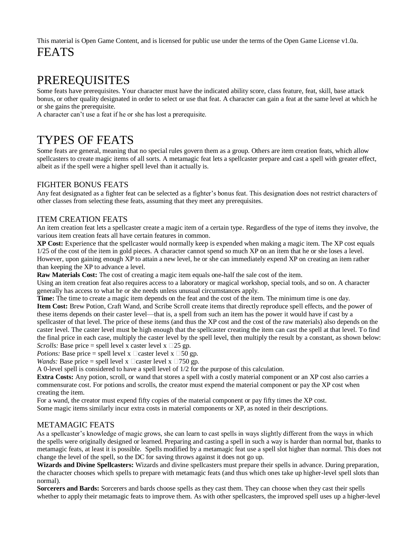# This material is Open Game Content, and is licensed for public use under the terms of the Open Game License v1.0a. FEATS

# PREREQUISITES

Some feats have prerequisites. Your character must have the indicated ability score, class feature, feat, skill, base attack bonus, or other quality designated in order to select or use that feat. A character can gain a feat at the same level at which he or she gains the prerequisite.

A character can't use a feat if he or she has lost a prerequisite.

# TYPES OF FEATS

Some feats are general, meaning that no special rules govern them as a group. Others are item creation feats, which allow spellcasters to create magic items of all sorts. A metamagic feat lets a spellcaster prepare and cast a spell with greater effect, albeit as if the spell were a higher spell level than it actually is.

# FIGHTER BONUS FEATS

Any feat designated as a fighter feat can be selected as a fighter's bonus feat. This designation does not restrict characters of other classes from selecting these feats, assuming that they meet any prerequisites.

# ITEM CREATION FEATS

An item creation feat lets a spellcaster create a magic item of a certain type. Regardless of the type of items they involve, the various item creation feats all have certain features in common.

**XP Cost:** Experience that the spellcaster would normally keep is expended when making a magic item. The XP cost equals 1/25 of the cost of the item in gold pieces. A character cannot spend so much XP on an item that he or she loses a level. However, upon gaining enough XP to attain a new level, he or she can immediately expend XP on creating an item rather than keeping the XP to advance a level.

**Raw Materials Cost:** The cost of creating a magic item equals one-half the sale cost of the item.

Using an item creation feat also requires access to a laboratory or magical workshop, special tools, and so on. A character generally has access to what he or she needs unless unusual circumstances apply.

**Time:** The time to create a magic item depends on the feat and the cost of the item. The minimum time is one day. **Item Cost:** Brew Potion, Craft Wand, and Scribe Scroll create items that directly reproduce spell effects, and the power of these items depends on their caster level—that is, a spell from such an item has the power it would have if cast by a spellcaster of that level. The price of these items (and thus the XP cost and the cost of the raw materials) also depends on the caster level. The caster level must be high enough that the spellcaster creating the item can cast the spell at that level. To find the final price in each case, multiply the caster level by the spell level, then multiply the result by a constant, as shown below:

*Scrolls:* Base price = spell level x caster level  $x \Box 25$  gp.

*Potions:* Base price = spell level x  $\Box$  caster level x  $\Box$  50 gp.

*Wands:* Base price = spell level x  $\Box$  caster level x  $\Box$  750 gp.

A 0-level spell is considered to have a spell level of 1/2 for the purpose of this calculation.

**Extra Costs:** Any potion, scroll, or wand that stores a spell with a costly material component or an XP cost also carries a commensurate cost. For potions and scrolls, the creator must expend the material component or pay the XP cost when creating the item.

For a wand, the creator must expend fifty copies of the material component or pay fifty times the XP cost.

Some magic items similarly incur extra costs in material components or XP, as noted in their descriptions.

# METAMAGIC FEATS

As a spellcaster's knowledge of magic grows, she can learn to cast spells in ways slightly different from the ways in which the spells were originally designed or learned. Preparing and casting a spell in such a way is harder than normal but, thanks to metamagic feats, at least it is possible. Spells modified by a metamagic feat use a spell slot higher than normal. This does not change the level of the spell, so the DC for saving throws against it does not go up.

**Wizards and Divine Spellcasters:** Wizards and divine spellcasters must prepare their spells in advance. During preparation, the character chooses which spells to prepare with metamagic feats (and thus which ones take up higher-level spell slots than normal).

**Sorcerers and Bards:** Sorcerers and bards choose spells as they cast them. They can choose when they cast their spells whether to apply their metamagic feats to improve them. As with other spellcasters, the improved spell uses up a higher-level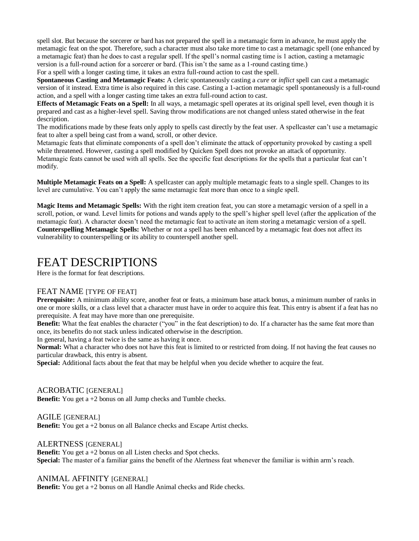spell slot. But because the sorcerer or bard has not prepared the spell in a metamagic form in advance, he must apply the metamagic feat on the spot. Therefore, such a character must also take more time to cast a metamagic spell (one enhanced by a metamagic feat) than he does to cast a regular spell. If the spell's normal casting time is 1 action, casting a metamagic version is a full-round action for a sorcerer or bard. (This isn't the same as a 1-round casting time.) For a spell with a longer casting time, it takes an extra full-round action to cast the spell.

**Spontaneous Casting and Metamagic Feats:** A cleric spontaneously casting a *cure* or *inflict* spell can cast a metamagic version of it instead. Extra time is also required in this case. Casting a 1-action metamagic spell spontaneously is a full-round action, and a spell with a longer casting time takes an extra full-round action to cast.

**Effects of Metamagic Feats on a Spell:** In all ways, a metamagic spell operates at its original spell level, even though it is prepared and cast as a higher-level spell. Saving throw modifications are not changed unless stated otherwise in the feat description.

The modifications made by these feats only apply to spells cast directly by the feat user. A spellcaster can't use a metamagic feat to alter a spell being cast from a wand, scroll, or other device.

Metamagic feats that eliminate components of a spell don't eliminate the attack of opportunity provoked by casting a spell while threatened. However, casting a spell modified by Quicken Spell does not provoke an attack of opportunity. Metamagic feats cannot be used with all spells. See the specific feat descriptions for the spells that a particular feat can't modify.

**Multiple Metamagic Feats on a Spell:** A spellcaster can apply multiple metamagic feats to a single spell. Changes to its level are cumulative. You can't apply the same metamagic feat more than once to a single spell.

**Magic Items and Metamagic Spells:** With the right item creation feat, you can store a metamagic version of a spell in a scroll, potion, or wand. Level limits for potions and wands apply to the spell's higher spell level (after the application of the metamagic feat). A character doesn't need the metamagic feat to activate an item storing a metamagic version of a spell. **Counterspelling Metamagic Spells:** Whether or not a spell has been enhanced by a metamagic feat does not affect its vulnerability to counterspelling or its ability to counterspell another spell.

# FEAT DESCRIPTIONS

Here is the format for feat descriptions.

# FEAT NAME [TYPE OF FEAT]

**Prerequisite:** A minimum ability score, another feat or feats, a minimum base attack bonus, a minimum number of ranks in one or more skills, or a class level that a character must have in order to acquire this feat. This entry is absent if a feat has no prerequisite. A feat may have more than one prerequisite.

**Benefit:** What the feat enables the character ("you" in the feat description) to do. If a character has the same feat more than once, its benefits do not stack unless indicated otherwise in the description.

In general, having a feat twice is the same as having it once.

**Normal:** What a character who does not have this feat is limited to or restricted from doing. If not having the feat causes no particular drawback, this entry is absent.

**Special:** Additional facts about the feat that may be helpful when you decide whether to acquire the feat.

# ACROBATIC [GENERAL]

**Benefit:** You get a +2 bonus on all Jump checks and Tumble checks.

#### AGILE [GENERAL]

**Benefit:** You get a +2 bonus on all Balance checks and Escape Artist checks.

### ALERTNESS [GENERAL]

**Benefit:** You get a +2 bonus on all Listen checks and Spot checks. **Special:** The master of a familiar gains the benefit of the Alertness feat whenever the familiar is within arm's reach.

# ANIMAL AFFINITY [GENERAL]

**Benefit:** You get a +2 bonus on all Handle Animal checks and Ride checks.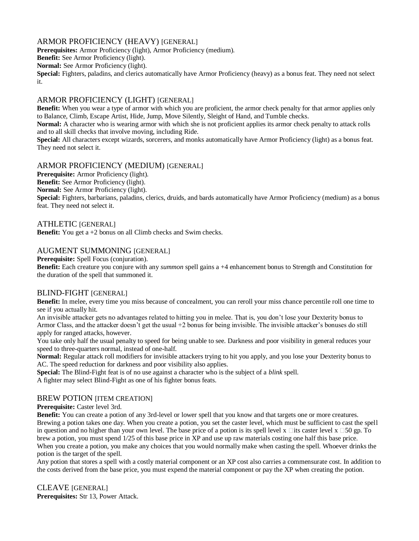# ARMOR PROFICIENCY (HEAVY) [GENERAL]

**Prerequisites:** Armor Proficiency (light), Armor Proficiency (medium). **Benefit:** See Armor Proficiency (light). **Normal:** See Armor Proficiency (light). **Special:** Fighters, paladins, and clerics automatically have Armor Proficiency (heavy) as a bonus feat. They need not select it.

# ARMOR PROFICIENCY (LIGHT) [GENERAL]

**Benefit:** When you wear a type of armor with which you are proficient, the armor check penalty for that armor applies only to Balance, Climb, Escape Artist, Hide, Jump, Move Silently, Sleight of Hand, and Tumble checks.

**Normal:** A character who is wearing armor with which she is not proficient applies its armor check penalty to attack rolls and to all skill checks that involve moving, including Ride.

**Special:** All characters except wizards, sorcerers, and monks automatically have Armor Proficiency (light) as a bonus feat. They need not select it.

### ARMOR PROFICIENCY (MEDIUM) [GENERAL]

**Prerequisite:** Armor Proficiency (light).

**Benefit:** See Armor Proficiency (light).

**Normal:** See Armor Proficiency (light).

**Special:** Fighters, barbarians, paladins, clerics, druids, and bards automatically have Armor Proficiency (medium) as a bonus feat. They need not select it.

ATHLETIC [GENERAL] **Benefit:** You get a +2 bonus on all Climb checks and Swim checks.

# AUGMENT SUMMONING [GENERAL]

**Prerequisite:** Spell Focus (conjuration).

**Benefit:** Each creature you conjure with any *summon* spell gains a +4 enhancement bonus to Strength and Constitution for the duration of the spell that summoned it.

# BLIND-FIGHT [GENERAL]

**Benefit:** In melee, every time you miss because of concealment, you can reroll your miss chance percentile roll one time to see if you actually hit.

An invisible attacker gets no advantages related to hitting you in melee. That is, you don't lose your Dexterity bonus to Armor Class, and the attacker doesn't get the usual +2 bonus for being invisible. The invisible attacker's bonuses do still apply for ranged attacks, however.

You take only half the usual penalty to speed for being unable to see. Darkness and poor visibility in general reduces your speed to three-quarters normal, instead of one-half.

**Normal:** Regular attack roll modifiers for invisible attackers trying to hit you apply, and you lose your Dexterity bonus to AC. The speed reduction for darkness and poor visibility also applies.

**Special:** The Blind-Fight feat is of no use against a character who is the subject of a *blink* spell. A fighter may select Blind-Fight as one of his fighter bonus feats.

# BREW POTION [ITEM CREATION]

**Prerequisite:** Caster level 3rd.

**Benefit:** You can create a potion of any 3rd-level or lower spell that you know and that targets one or more creatures. Brewing a potion takes one day. When you create a potion, you set the caster level, which must be sufficient to cast the spell in question and no higher than your own level. The base price of a potion is its spell level x  $\Box$  its caster level x  $\Box$  50 gp. To brew a potion, you must spend 1/25 of this base price in XP and use up raw materials costing one half this base price. When you create a potion, you make any choices that you would normally make when casting the spell. Whoever drinks the potion is the target of the spell.

Any potion that stores a spell with a costly material component or an XP cost also carries a commensurate cost. In addition to the costs derived from the base price, you must expend the material component or pay the XP when creating the potion.

CLEAVE [GENERAL] **Prerequisites:** Str 13, Power Attack.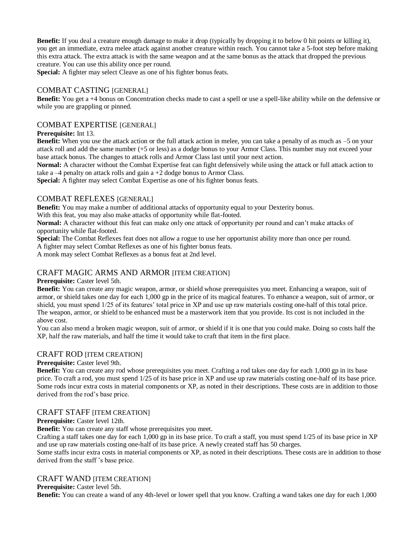**Benefit:** If you deal a creature enough damage to make it drop (typically by dropping it to below 0 hit points or killing it), you get an immediate, extra melee attack against another creature within reach. You cannot take a 5-foot step before making this extra attack. The extra attack is with the same weapon and at the same bonus as the attack that dropped the previous creature. You can use this ability once per round.

**Special:** A fighter may select Cleave as one of his fighter bonus feats.

## COMBAT CASTING [GENERAL]

**Benefit:** You get a +4 bonus on Concentration checks made to cast a spell or use a spell-like ability while on the defensive or while you are grappling or pinned.

# COMBAT EXPERTISE [GENERAL]

#### **Prerequisite:** Int 13.

**Benefit:** When you use the attack action or the full attack action in melee, you can take a penalty of as much as  $-5$  on your attack roll and add the same number (+5 or less) as a dodge bonus to your Armor Class. This number may not exceed your base attack bonus. The changes to attack rolls and Armor Class last until your next action.

**Normal:** A character without the Combat Expertise feat can fight defensively while using the attack or full attack action to take a  $-4$  penalty on attack rolls and gain a  $+2$  dodge bonus to Armor Class.

**Special:** A fighter may select Combat Expertise as one of his fighter bonus feats.

# COMBAT REFLEXES [GENERAL]

**Benefit:** You may make a number of additional attacks of opportunity equal to your Dexterity bonus.

With this feat, you may also make attacks of opportunity while flat-footed.

**Normal:** A character without this feat can make only one attack of opportunity per round and can't make attacks of opportunity while flat-footed.

**Special:** The Combat Reflexes feat does not allow a rogue to use her opportunist ability more than once per round.

A fighter may select Combat Reflexes as one of his fighter bonus feats.

A monk may select Combat Reflexes as a bonus feat at 2nd level.

# CRAFT MAGIC ARMS AND ARMOR [ITEM CREATION]

#### **Prerequisite:** Caster level 5th.

**Benefit:** You can create any magic weapon, armor, or shield whose prerequisites you meet. Enhancing a weapon, suit of armor, or shield takes one day for each 1,000 gp in the price of its magical features. To enhance a weapon, suit of armor, or shield, you must spend 1/25 of its features' total price in XP and use up raw materials costing one-half of this total price. The weapon, armor, or shield to be enhanced must be a masterwork item that you provide. Its cost is not included in the above cost.

You can also mend a broken magic weapon, suit of armor, or shield if it is one that you could make. Doing so costs half the XP, half the raw materials, and half the time it would take to craft that item in the first place.

# CRAFT ROD [ITEM CREATION]

**Prerequisite:** Caster level 9th.

**Benefit:** You can create any rod whose prerequisites you meet. Crafting a rod takes one day for each 1,000 gp in its base price. To craft a rod, you must spend 1/25 of its base price in XP and use up raw materials costing one-half of its base price. Some rods incur extra costs in material components or XP, as noted in their descriptions. These costs are in addition to those derived from the rod's base price.

#### CRAFT STAFF [ITEM CREATION]

#### **Prerequisite:** Caster level 12th.

**Benefit:** You can create any staff whose prerequisites you meet.

Crafting a staff takes one day for each 1,000 gp in its base price. To craft a staff, you must spend 1/25 of its base price in XP and use up raw materials costing one-half of its base price. A newly created staff has 50 charges.

Some staffs incur extra costs in material components or XP, as noted in their descriptions. These costs are in addition to those derived from the staff 's base price.

#### CRAFT WAND [ITEM CREATION]

#### **Prerequisite:** Caster level 5th.

**Benefit:** You can create a wand of any 4th-level or lower spell that you know. Crafting a wand takes one day for each 1,000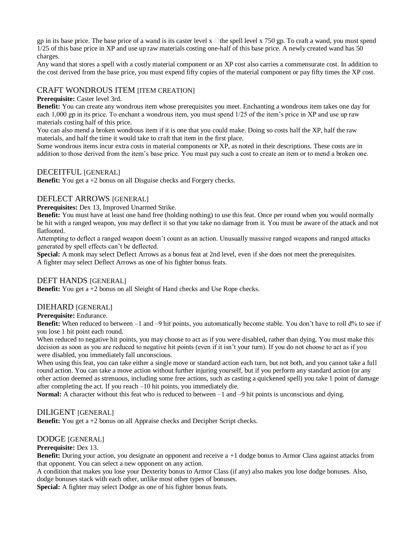gp in its base price. The base price of a wand is its caster level x  $\Box$  the spell level x 750 gp. To craft a wand, you must spend 1/25 of this base price in XP and use up raw materials costing one-half of this base price. A newly created wand has 50 charges.

Any wand that stores a spell with a costly material component or an XP cost also carries a commensurate cost. In addition to the cost derived from the base price, you must expend fifty copies of the material component or pay fifty times the XP cost.

## CRAFT WONDROUS ITEM [ITEM CREATION]

#### **Prerequisite:** Caster level 3rd.

**Benefit:** You can create any wondrous item whose prerequisites you meet. Enchanting a wondrous item takes one day for each 1,000 gp in its price. To enchant a wondrous item, you must spend 1/25 of the item's price in XP and use up raw materials costing half of this price.

You can also mend a broken wondrous item if it is one that you could make. Doing so costs half the XP, half the raw materials, and half the time it would take to craft that item in the first place.

Some wondrous items incur extra costs in material components or XP, as noted in their descriptions. These costs are in addition to those derived from the item's base price. You must pay such a cost to create an item or to mend a broken one.

#### DECEITFUL [GENERAL]

**Benefit:** You get a +2 bonus on all Disguise checks and Forgery checks.

### DEFLECT ARROWS [GENERAL]

**Prerequisites:** Dex 13, Improved Unarmed Strike.

**Benefit:** You must have at least one hand free (holding nothing) to use this feat. Once per round when you would normally be hit with a ranged weapon, you may deflect it so that you take no damage from it. You must be aware of the attack and not flatfooted.

Attempting to deflect a ranged weapon doesn't count as an action. Unusually massive ranged weapons and ranged attacks generated by spell effects can't be deflected.

**Special:** A monk may select Deflect Arrows as a bonus feat at 2nd level, even if she does not meet the prerequisites. A fighter may select Deflect Arrows as one of his fighter bonus feats.

#### DEFT HANDS [GENERAL]

**Benefit:** You get a +2 bonus on all Sleight of Hand checks and Use Rope checks.

#### DIEHARD [GENERAL]

#### **Prerequisite:** Endurance.

**Benefit:** When reduced to between –1 and –9 hit points, you automatically become stable. You don't have to roll d% to see if you lose 1 hit point each round.

When reduced to negative hit points, you may choose to act as if you were disabled, rather than dying. You must make this decision as soon as you are reduced to negative hit points (even if it isn't your turn). If you do not choose to act as if you were disabled, you immediately fall unconscious.

When using this feat, you can take either a single move or standard action each turn, but not both, and you cannot take a full round action. You can take a move action without further injuring yourself, but if you perform any standard action (or any other action deemed as strenuous, including some free actions, such as casting a quickened spell) you take 1 point of damage after completing the act. If you reach –10 hit points, you immediately die.

**Normal:** A character without this feat who is reduced to between  $-1$  and  $-9$  hit points is unconscious and dying.

#### DILIGENT [GENERAL]

**Benefit:** You get a +2 bonus on all Appraise checks and Decipher Script checks.

## DODGE [GENERAL]

#### **Prerequisite:** Dex 13.

**Benefit:** During your action, you designate an opponent and receive a +1 dodge bonus to Armor Class against attacks from that opponent. You can select a new opponent on any action.

A condition that makes you lose your Dexterity bonus to Armor Class (if any) also makes you lose dodge bonuses. Also, dodge bonuses stack with each other, unlike most other types of bonuses.

**Special:** A fighter may select Dodge as one of his fighter bonus feats.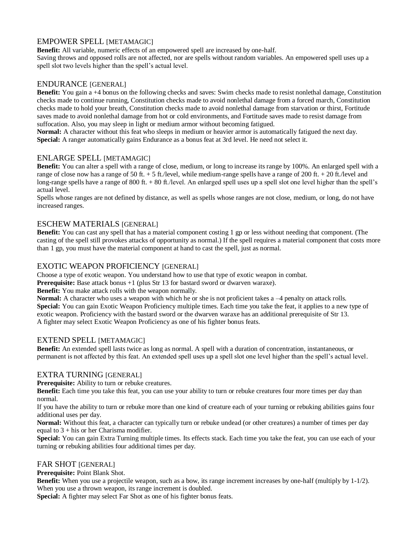# EMPOWER SPELL [METAMAGIC]

**Benefit:** All variable, numeric effects of an empowered spell are increased by one-half. Saving throws and opposed rolls are not affected, nor are spells without random variables. An empowered spell uses up a spell slot two levels higher than the spell's actual level.

# ENDURANCE [GENERAL]

**Benefit:** You gain a +4 bonus on the following checks and saves: Swim checks made to resist nonlethal damage, Constitution checks made to continue running, Constitution checks made to avoid nonlethal damage from a forced march, Constitution checks made to hold your breath, Constitution checks made to avoid nonlethal damage from starvation or thirst, Fortitude saves made to avoid nonlethal damage from hot or cold environments, and Fortitude saves made to resist damage from suffocation. Also, you may sleep in light or medium armor without becoming fatigued.

**Normal:** A character without this feat who sleeps in medium or heavier armor is automatically fatigued the next day. **Special:** A ranger automatically gains Endurance as a bonus feat at 3rd level. He need not select it.

# ENLARGE SPELL [METAMAGIC]

**Benefit:** You can alter a spell with a range of close, medium, or long to increase its range by 100%. An enlarged spell with a range of close now has a range of 50 ft. + 5 ft./level, while medium-range spells have a range of 200 ft. + 20 ft./level and long-range spells have a range of 800 ft. + 80 ft./level. An enlarged spell uses up a spell slot one level higher than the spell's actual level.

Spells whose ranges are not defined by distance, as well as spells whose ranges are not close, medium, or long, do not have increased ranges.

# ESCHEW MATERIALS [GENERAL]

**Benefit:** You can cast any spell that has a material component costing 1 gp or less without needing that component. (The casting of the spell still provokes attacks of opportunity as normal.) If the spell requires a material component that costs more than 1 gp, you must have the material component at hand to cast the spell, just as normal.

# EXOTIC WEAPON PROFICIENCY [GENERAL]

Choose a type of exotic weapon. You understand how to use that type of exotic weapon in combat.

**Prerequisite:** Base attack bonus +1 (plus Str 13 for bastard sword or dwarven waraxe).

**Benefit:** You make attack rolls with the weapon normally.

**Normal:** A character who uses a weapon with which he or she is not proficient takes a  $-4$  penalty on attack rolls. **Special:** You can gain Exotic Weapon Proficiency multiple times. Each time you take the feat, it applies to a new type of exotic weapon. Proficiency with the bastard sword or the dwarven waraxe has an additional prerequisite of Str 13. A fighter may select Exotic Weapon Proficiency as one of his fighter bonus feats.

# EXTEND SPELL [METAMAGIC]

**Benefit:** An extended spell lasts twice as long as normal. A spell with a duration of concentration, instantaneous, or permanent is not affected by this feat. An extended spell uses up a spell slot one level higher than the spell's actual level.

# EXTRA TURNING [GENERAL]

**Prerequisite:** Ability to turn or rebuke creatures.

**Benefit:** Each time you take this feat, you can use your ability to turn or rebuke creatures four more times per day than normal.

If you have the ability to turn or rebuke more than one kind of creature each of your turning or rebuking abilities gains four additional uses per day.

**Normal:** Without this feat, a character can typically turn or rebuke undead (or other creatures) a number of times per day equal to  $3 +$  his or her Charisma modifier.

**Special:** You can gain Extra Turning multiple times. Its effects stack. Each time you take the feat, you can use each of your turning or rebuking abilities four additional times per day.

# FAR SHOT [GENERAL]

**Prerequisite:** Point Blank Shot.

**Benefit:** When you use a projectile weapon, such as a bow, its range increment increases by one-half (multiply by 1-1/2). When you use a thrown weapon, its range increment is doubled.

**Special:** A fighter may select Far Shot as one of his fighter bonus feats.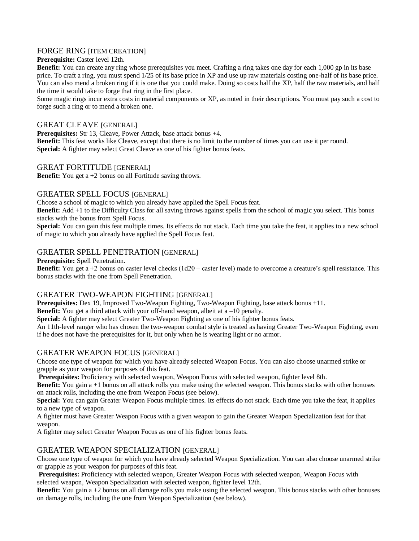# FORGE RING [ITEM CREATION]

#### **Prerequisite:** Caster level 12th.

**Benefit:** You can create any ring whose prerequisites you meet. Crafting a ring takes one day for each 1,000 gp in its base price. To craft a ring, you must spend 1/25 of its base price in XP and use up raw materials costing one-half of its base price. You can also mend a broken ring if it is one that you could make. Doing so costs half the XP, half the raw materials, and half the time it would take to forge that ring in the first place.

Some magic rings incur extra costs in material components or XP, as noted in their descriptions. You must pay such a cost to forge such a ring or to mend a broken one.

## GREAT CLEAVE [GENERAL]

**Prerequisites:** Str 13, Cleave, Power Attack, base attack bonus +4. **Benefit:** This feat works like Cleave, except that there is no limit to the number of times you can use it per round. **Special:** A fighter may select Great Cleave as one of his fighter bonus feats.

# GREAT FORTITUDE [GENERAL]

**Benefit:** You get a +2 bonus on all Fortitude saving throws.

### GREATER SPELL FOCUS [GENERAL]

Choose a school of magic to which you already have applied the Spell Focus feat.

**Benefit:** Add +1 to the Difficulty Class for all saving throws against spells from the school of magic you select. This bonus stacks with the bonus from Spell Focus.

**Special:** You can gain this feat multiple times. Its effects do not stack. Each time you take the feat, it applies to a new school of magic to which you already have applied the Spell Focus feat.

# GREATER SPELL PENETRATION [GENERAL]

**Prerequisite:** Spell Penetration.

**Benefit:** You get a +2 bonus on caster level checks (1d20 + caster level) made to overcome a creature's spell resistance. This bonus stacks with the one from Spell Penetration.

# GREATER TWO-WEAPON FIGHTING [GENERAL]

**Prerequisites:** Dex 19, Improved Two-Weapon Fighting, Two-Weapon Fighting, base attack bonus +11.

**Benefit:** You get a third attack with your off-hand weapon, albeit at a -10 penalty.

**Special:** A fighter may select Greater Two-Weapon Fighting as one of his fighter bonus feats.

An 11th-level ranger who has chosen the two-weapon combat style is treated as having Greater Two-Weapon Fighting, even if he does not have the prerequisites for it, but only when he is wearing light or no armor.

# GREATER WEAPON FOCUS [GENERAL]

Choose one type of weapon for which you have already selected Weapon Focus. You can also choose unarmed strike or grapple as your weapon for purposes of this feat.

**Prerequisites:** Proficiency with selected weapon, Weapon Focus with selected weapon, fighter level 8th.

**Benefit:** You gain a +1 bonus on all attack rolls you make using the selected weapon. This bonus stacks with other bonuses on attack rolls, including the one from Weapon Focus (see below).

**Special:** You can gain Greater Weapon Focus multiple times. Its effects do not stack. Each time you take the feat, it applies to a new type of weapon.

A fighter must have Greater Weapon Focus with a given weapon to gain the Greater Weapon Specialization feat for that weapon.

A fighter may select Greater Weapon Focus as one of his fighter bonus feats.

# GREATER WEAPON SPECIALIZATION [GENERAL]

Choose one type of weapon for which you have already selected Weapon Specialization. You can also choose unarmed strike or grapple as your weapon for purposes of this feat.

**Prerequisites:** Proficiency with selected weapon, Greater Weapon Focus with selected weapon, Weapon Focus with selected weapon, Weapon Specialization with selected weapon, fighter level 12th.

**Benefit:** You gain a +2 bonus on all damage rolls you make using the selected weapon. This bonus stacks with other bonuses on damage rolls, including the one from Weapon Specialization (see below).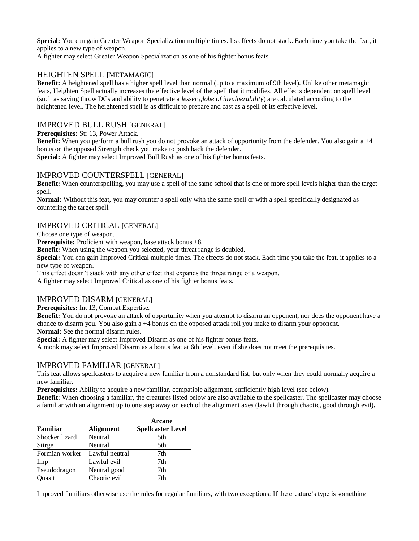**Special:** You can gain Greater Weapon Specialization multiple times. Its effects do not stack. Each time you take the feat, it applies to a new type of weapon.

A fighter may select Greater Weapon Specialization as one of his fighter bonus feats.

# HEIGHTEN SPELL [METAMAGIC]

**Benefit:** A heightened spell has a higher spell level than normal (up to a maximum of 9th level). Unlike other metamagic feats, Heighten Spell actually increases the effective level of the spell that it modifies. All effects dependent on spell level (such as saving throw DCs and ability to penetrate a *lesser globe of invulnerability*) are calculated according to the heightened level. The heightened spell is as difficult to prepare and cast as a spell of its effective level.

# IMPROVED BULL RUSH [GENERAL]

**Prerequisites:** Str 13, Power Attack.

**Benefit:** When you perform a bull rush you do not provoke an attack of opportunity from the defender. You also gain a +4 bonus on the opposed Strength check you make to push back the defender.

**Special:** A fighter may select Improved Bull Rush as one of his fighter bonus feats.

# IMPROVED COUNTERSPELL [GENERAL]

**Benefit:** When counterspelling, you may use a spell of the same school that is one or more spell levels higher than the target spell.

**Normal:** Without this feat, you may counter a spell only with the same spell or with a spell specifically designated as countering the target spell.

### IMPROVED CRITICAL [GENERAL]

Choose one type of weapon.

**Prerequisite:** Proficient with weapon, base attack bonus +8.

**Benefit:** When using the weapon you selected, your threat range is doubled.

**Special:** You can gain Improved Critical multiple times. The effects do not stack. Each time you take the feat, it applies to a new type of weapon.

This effect doesn't stack with any other effect that expands the threat range of a weapon.

A fighter may select Improved Critical as one of his fighter bonus feats.

# IMPROVED DISARM [GENERAL]

**Prerequisites:** Int 13, Combat Expertise.

**Benefit:** You do not provoke an attack of opportunity when you attempt to disarm an opponent, nor does the opponent have a chance to disarm you. You also gain a +4 bonus on the opposed attack roll you make to disarm your opponent. **Normal:** See the normal disarm rules.

**Special:** A fighter may select Improved Disarm as one of his fighter bonus feats.

A monk may select Improved Disarm as a bonus feat at 6th level, even if she does not meet the prerequisites.

#### IMPROVED FAMILIAR [GENERAL]

This feat allows spellcasters to acquire a new familiar from a nonstandard list, but only when they could normally acquire a new familiar.

**Prerequisites:** Ability to acquire a new familiar, compatible alignment, sufficiently high level (see below).

**Benefit:** When choosing a familiar, the creatures listed below are also available to the spellcaster. The spellcaster may choose a familiar with an alignment up to one step away on each of the alignment axes (lawful through chaotic, good through evil).

|                |                  | Arcane                   |
|----------------|------------------|--------------------------|
| Familiar       | <b>Alignment</b> | <b>Spellcaster Level</b> |
| Shocker lizard | Neutral          | 5th                      |
| Stirge         | Neutral          | 5th                      |
| Formian worker | Lawful neutral   | 7th                      |
| Imp            | Lawful evil      | 7th                      |
| Pseudodragon   | Neutral good     | 7th                      |
| Ouasit         | Chaotic evil     | 7th                      |

Improved familiars otherwise use the rules for regular familiars*,* with two exceptions: If the creature's type is something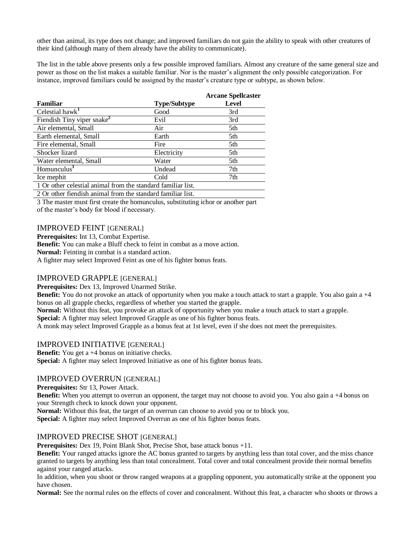other than animal, its type does not change; and improved familiars do not gain the ability to speak with other creatures of their kind (although many of them already have the ability to communicate).

The list in the table above presents only a few possible improved familiars. Almost any creature of the same general size and power as those on the list makes a suitable familiar. Nor is the master's alignment the only possible categorization. For instance, improved familiars could be assigned by the master's creature type or subtype, as shown below.

|                                                              |                     | <b>Arcane Spellcaster</b> |
|--------------------------------------------------------------|---------------------|---------------------------|
| Familiar                                                     | <b>Type/Subtype</b> | Level                     |
| Celestial hawk <sup>1</sup>                                  | Good                | 3rd                       |
| Fiendish Tiny viper snake <sup>2</sup>                       | Evil                | 3rd                       |
| Air elemental, Small                                         | Air                 | 5th                       |
| Earth elemental, Small                                       | Earth               | 5th                       |
| Fire elemental, Small                                        | Fire                | 5th                       |
| Shocker lizard                                               | Electricity         | 5th                       |
| Water elemental, Small                                       | Water               | 5th                       |
| Homunculus $3$                                               | Undead              | 7th                       |
| Ice mephit                                                   | Cold                | 7th                       |
| 1 Or other celestial animal from the standard familiar list. |                     |                           |
|                                                              |                     |                           |

2 Or other fiendish animal from the standard familiar list.

3 The master must first create the homunculus, substituting ichor or another part of the master's body for blood if necessary.

# IMPROVED FEINT [GENERAL]

**Prerequisites:** Int 13, Combat Expertise.

**Benefit:** You can make a Bluff check to feint in combat as a move action.

**Normal:** Feinting in combat is a standard action.

A fighter may select Improved Feint as one of his fighter bonus feats.

# IMPROVED GRAPPLE [GENERAL]

**Prerequisites:** Dex 13, Improved Unarmed Strike.

**Benefit:** You do not provoke an attack of opportunity when you make a touch attack to start a grapple. You also gain a  $+4$ bonus on all grapple checks, regardless of whether you started the grapple.

**Normal:** Without this feat, you provoke an attack of opportunity when you make a touch attack to start a grapple.

**Special:** A fighter may select Improved Grapple as one of his fighter bonus feats.

A monk may select Improved Grapple as a bonus feat at 1st level, even if she does not meet the prerequisites.

# IMPROVED INITIATIVE [GENERAL]

**Benefit:** You get a +4 bonus on initiative checks.

**Special:** A fighter may select Improved Initiative as one of his fighter bonus feats.

# IMPROVED OVERRUN [GENERAL]

**Prerequisites:** Str 13, Power Attack.

**Benefit:** When you attempt to overrun an opponent, the target may not choose to avoid you. You also gain a +4 bonus on your Strength check to knock down your opponent.

**Normal:** Without this feat, the target of an overrun can choose to avoid you or to block you.

**Special:** A fighter may select Improved Overrun as one of his fighter bonus feats.

# IMPROVED PRECISE SHOT [GENERAL]

**Prerequisites:** Dex 19, Point Blank Shot, Precise Shot, base attack bonus +11.

**Benefit:** Your ranged attacks ignore the AC bonus granted to targets by anything less than total cover, and the miss chance granted to targets by anything less than total concealment. Total cover and total concealment provide their normal benefits against your ranged attacks.

In addition, when you shoot or throw ranged weapons at a grappling opponent, you automatically strike at the opponent you have chosen.

**Normal:** See the normal rules on the effects of cover and concealment. Without this feat, a character who shoots or throws a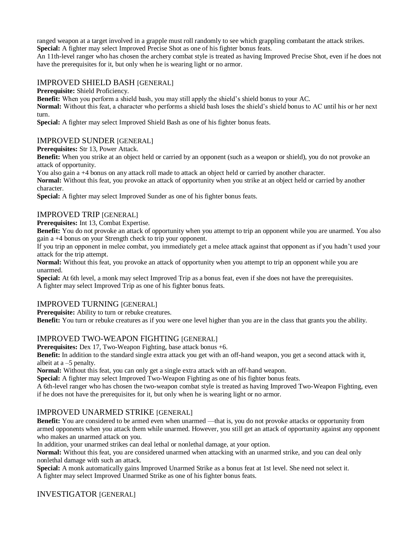ranged weapon at a target involved in a grapple must roll randomly to see which grappling combatant the attack strikes. **Special:** A fighter may select Improved Precise Shot as one of his fighter bonus feats.

An 11th-level ranger who has chosen the archery combat style is treated as having Improved Precise Shot, even if he does not have the prerequisites for it, but only when he is wearing light or no armor.

# IMPROVED SHIELD BASH [GENERAL]

**Prerequisite:** Shield Proficiency.

**Benefit:** When you perform a shield bash, you may still apply the shield's shield bonus to your AC.

**Normal:** Without this feat, a character who performs a shield bash loses the shield's shield bonus to AC until his or her next turn.

**Special:** A fighter may select Improved Shield Bash as one of his fighter bonus feats.

### IMPROVED SUNDER [GENERAL]

**Prerequisites:** Str 13, Power Attack.

**Benefit:** When you strike at an object held or carried by an opponent (such as a weapon or shield), you do not provoke an attack of opportunity.

You also gain a  $+4$  bonus on any attack roll made to attack an object held or carried by another character.

**Normal:** Without this feat, you provoke an attack of opportunity when you strike at an object held or carried by another character.

**Special:** A fighter may select Improved Sunder as one of his fighter bonus feats.

# IMPROVED TRIP [GENERAL]

**Prerequisites:** Int 13, Combat Expertise.

**Benefit:** You do not provoke an attack of opportunity when you attempt to trip an opponent while you are unarmed. You also gain a +4 bonus on your Strength check to trip your opponent.

If you trip an opponent in melee combat, you immediately get a melee attack against that opponent as if you hadn't used your attack for the trip attempt.

**Normal:** Without this feat, you provoke an attack of opportunity when you attempt to trip an opponent while you are unarmed.

**Special:** At 6th level, a monk may select Improved Trip as a bonus feat, even if she does not have the prerequisites. A fighter may select Improved Trip as one of his fighter bonus feats.

# IMPROVED TURNING [GENERAL]

**Prerequisite:** Ability to turn or rebuke creatures.

**Benefit:** You turn or rebuke creatures as if you were one level higher than you are in the class that grants you the ability.

# IMPROVED TWO-WEAPON FIGHTING [GENERAL]

**Prerequisites:** Dex 17, Two-Weapon Fighting, base attack bonus +6.

**Benefit:** In addition to the standard single extra attack you get with an off-hand weapon, you get a second attack with it, albeit at  $a - 5$  penalty.

**Normal:** Without this feat, you can only get a single extra attack with an off-hand weapon.

**Special:** A fighter may select Improved Two-Weapon Fighting as one of his fighter bonus feats.

A 6th-level ranger who has chosen the two-weapon combat style is treated as having Improved Two-Weapon Fighting, even if he does not have the prerequisites for it, but only when he is wearing light or no armor.

# IMPROVED UNARMED STRIKE [GENERAL]

**Benefit:** You are considered to be armed even when unarmed —that is, you do not provoke attacks or opportunity from armed opponents when you attack them while unarmed. However, you still get an attack of opportunity against any opponent who makes an unarmed attack on you.

In addition, your unarmed strikes can deal lethal or nonlethal damage, at your option.

**Normal:** Without this feat, you are considered unarmed when attacking with an unarmed strike, and you can deal only nonlethal damage with such an attack.

**Special:** A monk automatically gains Improved Unarmed Strike as a bonus feat at 1st level. She need not select it. A fighter may select Improved Unarmed Strike as one of his fighter bonus feats.

#### INVESTIGATOR [GENERAL]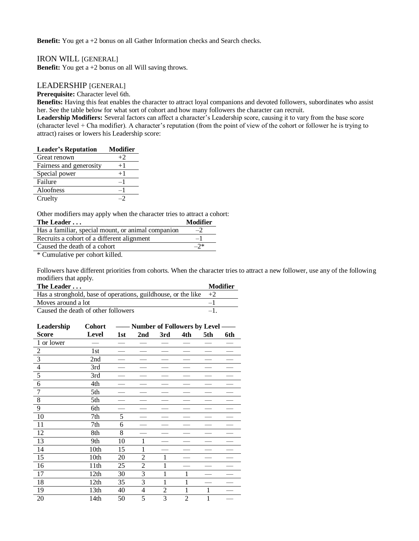**Benefit:** You get a +2 bonus on all Gather Information checks and Search checks.

#### IRON WILL [GENERAL]

**Benefit:** You get a +2 bonus on all Will saving throws.

# LEADERSHIP [GENERAL]

**Prerequisite:** Character level 6th.

**Benefits:** Having this feat enables the character to attract loyal companions and devoted followers, subordinates who assist her. See the table below for what sort of cohort and how many followers the character can recruit.

**Leadership Modifiers:** Several factors can affect a character's Leadership score, causing it to vary from the base score (character level + Cha modifier). A character's reputation (from the point of view of the cohort or follower he is trying to attract) raises or lowers his Leadership score:

| <b>Leader's Reputation</b> | <b>Modifier</b> |
|----------------------------|-----------------|
| Great renown               | $+2$            |
| Fairness and generosity    | $+1$            |
| Special power              | $+1$            |
| Failure                    | $-1$            |
| Aloofness                  | $-1$            |
| Cruelty                    |                 |

Other modifiers may apply when the character tries to attract a cohort:

| The Leader                                         | <b>Modifier</b> |
|----------------------------------------------------|-----------------|
| Has a familiar, special mount, or animal companion |                 |
| Recruits a cohort of a different alignment         |                 |
| Caused the death of a cohort                       | $-2*$           |

\* Cumulative per cohort killed.

Followers have different priorities from cohorts. When the character tries to attract a new follower, use any of the following modifiers that apply.

| The Leader                                                    | <b>Modifier</b> |
|---------------------------------------------------------------|-----------------|
| Has a stronghold, base of operations, guildhouse, or the like | $+2$            |
| Moves around a lot                                            |                 |
| Caused the death of other followers                           |                 |

| Leadership       | <b>Cohort</b> |     | - Number of Followers by Level - |     |     |     |     |
|------------------|---------------|-----|----------------------------------|-----|-----|-----|-----|
| <b>Score</b>     | <b>Level</b>  | 1st | 2nd                              | 3rd | 4th | 5th | 6th |
| 1 or lower       |               |     |                                  |     |     |     |     |
| $\boldsymbol{2}$ | 1st           |     |                                  |     |     |     |     |
| $\overline{3}$   | 2nd           |     |                                  |     |     |     |     |
| $\overline{4}$   | 3rd           |     |                                  |     |     |     |     |
| 5                | 3rd           |     |                                  |     |     |     |     |
| 6                | 4th           |     |                                  |     |     |     |     |
| $\overline{7}$   | 5th           |     |                                  |     |     |     |     |
| 8                | 5th           |     |                                  |     |     |     |     |
| 9                | 6th           |     |                                  |     |     |     |     |
| 10               | 7th           | 5   |                                  |     |     |     |     |
| 11               | 7th           | 6   |                                  |     |     |     |     |
| 12               | 8th           | 8   |                                  |     |     |     |     |
| 13               | 9th           | 10  | 1                                |     |     |     |     |
| 14               | 10th          | 15  | 1                                |     |     |     |     |
| 15               | 10th          | 20  | $\overline{2}$                   | 1   |     |     |     |
| 16               | 11th          | 25  | $\overline{c}$                   | 1   |     |     |     |
| 17               | 12th          | 30  | 3                                | 1   |     |     |     |
| 18               | 12th          | 35  | 3                                | 1   |     |     |     |
| 19               | 13th          | 40  | $\overline{4}$                   | 2   | 1   | 1   |     |
| 20               | 14th          | 50  | 5                                | 3   | 2   |     |     |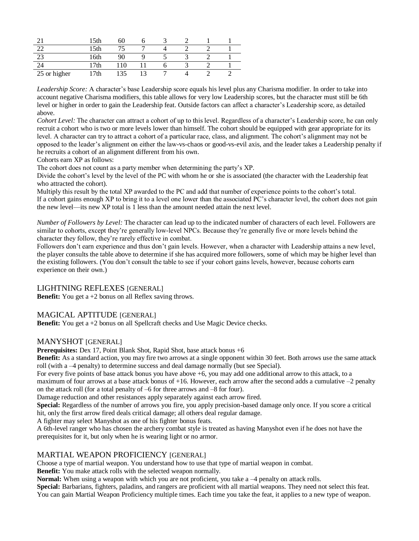|              | 5th   | טר  |  |  |  |
|--------------|-------|-----|--|--|--|
| nη           | 5th   |     |  |  |  |
| n n<br>ن     | l 6th |     |  |  |  |
|              | 7th   |     |  |  |  |
| 25 or higher | 7th   | 135 |  |  |  |

*Leadership Score:* A character's base Leadership score equals his level plus any Charisma modifier. In order to take into account negative Charisma modifiers, this table allows for very low Leadership scores, but the character must still be 6th level or higher in order to gain the Leadership feat. Outside factors can affect a character's Leadership score, as detailed above.

*Cohort Level:* The character can attract a cohort of up to this level. Regardless of a character's Leadership score, he can only recruit a cohort who is two or more levels lower than himself. The cohort should be equipped with gear appropriate for its level. A character can try to attract a cohort of a particular race, class, and alignment. The cohort's alignment may not be opposed to the leader's alignment on either the law-vs-chaos or good-vs-evil axis, and the leader takes a Leadership penalty if he recruits a cohort of an alignment different from his own.

Cohorts earn XP as follows:

The cohort does not count as a party member when determining the party's XP.

Divide the cohort's level by the level of the PC with whom he or she is associated (the character with the Leadership feat who attracted the cohort).

Multiply this result by the total XP awarded to the PC and add that number of experience points to the cohort's total. If a cohort gains enough XP to bring it to a level one lower than the associated PC's character level, the cohort does not gain the new level—its new XP total is 1 less than the amount needed attain the next level.

*Number of Followers by Level:* The character can lead up to the indicated number of characters of each level. Followers are similar to cohorts, except they're generally low-level NPCs. Because they're generally five or more levels behind the character they follow, they're rarely effective in combat.

Followers don't earn experience and thus don't gain levels. However, when a character with Leadership attains a new level, the player consults the table above to determine if she has acquired more followers, some of which may be higher level than the existing followers. (You don't consult the table to see if your cohort gains levels, however, because cohorts earn experience on their own.)

# LIGHTNING REFLEXES [GENERAL]

**Benefit:** You get a +2 bonus on all Reflex saving throws.

# MAGICAL APTITUDE [GENERAL]

**Benefit:** You get a +2 bonus on all Spellcraft checks and Use Magic Device checks.

#### MANYSHOT [GENERAL]

**Prerequisites:** Dex 17, Point Blank Shot, Rapid Shot, base attack bonus +6

**Benefit:** As a standard action, you may fire two arrows at a single opponent within 30 feet. Both arrows use the same attack roll (with a –4 penalty) to determine success and deal damage normally (but see Special).

For every five points of base attack bonus you have above +6, you may add one additional arrow to this attack, to a

maximum of four arrows at a base attack bonus of +16. However, each arrow after the second adds a cumulative –2 penalty on the attack roll (for a total penalty of –6 for three arrows and –8 for four).

Damage reduction and other resistances apply separately against each arrow fired.

**Special:** Regardless of the number of arrows you fire, you apply precision-based damage only once. If you score a critical hit, only the first arrow fired deals critical damage; all others deal regular damage.

A fighter may select Manyshot as one of his fighter bonus feats.

A 6th-level ranger who has chosen the archery combat style is treated as having Manyshot even if he does not have the prerequisites for it, but only when he is wearing light or no armor.

# MARTIAL WEAPON PROFICIENCY [GENERAL]

Choose a type of martial weapon. You understand how to use that type of martial weapon in combat.

**Benefit:** You make attack rolls with the selected weapon normally.

**Normal:** When using a weapon with which you are not proficient, you take a  $-4$  penalty on attack rolls.

**Special:** Barbarians, fighters, paladins, and rangers are proficient with all martial weapons. They need not select this feat. You can gain Martial Weapon Proficiency multiple times. Each time you take the feat, it applies to a new type of weapon.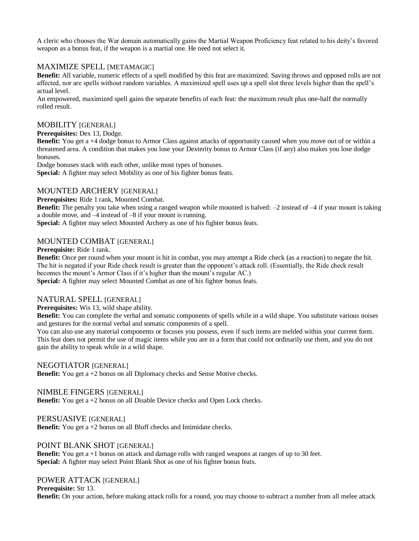A cleric who chooses the War domain automatically gains the Martial Weapon Proficiency feat related to his deity's favored weapon as a bonus feat, if the weapon is a martial one. He need not select it.

# MAXIMIZE SPELL [METAMAGIC]

**Benefit:** All variable, numeric effects of a spell modified by this feat are maximized. Saving throws and opposed rolls are not affected, nor are spells without random variables. A maximized spell uses up a spell slot three levels higher than the spell's actual level.

An empowered, maximized spell gains the separate benefits of each feat: the maximum result plus one-half the normally rolled result.

# MOBILITY [GENERAL]

#### **Prerequisites:** Dex 13, Dodge.

**Benefit:** You get a +4 dodge bonus to Armor Class against attacks of opportunity caused when you move out of or within a threatened area. A condition that makes you lose your Dexterity bonus to Armor Class (if any) also makes you lose dodge bonuses.

Dodge bonuses stack with each other, unlike most types of bonuses.

**Special:** A fighter may select Mobility as one of his fighter bonus feats.

# MOUNTED ARCHERY [GENERAL]

**Prerequisites:** Ride 1 rank, Mounted Combat.

**Benefit:** The penalty you take when using a ranged weapon while mounted is halved:  $-2$  instead of  $-4$  if your mount is taking a double move, and –4 instead of –8 if your mount is running.

**Special:** A fighter may select Mounted Archery as one of his fighter bonus feats.

### MOUNTED COMBAT [GENERAL]

**Prerequisite:** Ride 1 rank.

**Benefit:** Once per round when your mount is hit in combat, you may attempt a Ride check (as a reaction) to negate the hit. The hit is negated if your Ride check result is greater than the opponent's attack roll. (Essentially, the Ride check result becomes the mount's Armor Class if it's higher than the mount's regular AC.) **Special:** A fighter may select Mounted Combat as one of his fighter bonus feats.

#### NATURAL SPELL [GENERAL]

**Prerequisites:** Wis 13, wild shape ability.

**Benefit:** You can complete the verbal and somatic components of spells while in a wild shape. You substitute various noises and gestures for the normal verbal and somatic components of a spell.

You can also use any material components or focuses you possess, even if such items are melded within your current form. This feat does not permit the use of magic items while you are in a form that could not ordinarily use them, and you do not gain the ability to speak while in a wild shape.

#### NEGOTIATOR [GENERAL]

**Benefit:** You get a +2 bonus on all Diplomacy checks and Sense Motive checks.

#### NIMBLE FINGERS [GENERAL]

**Benefit:** You get a +2 bonus on all Disable Device checks and Open Lock checks.

# PERSUASIVE [GENERAL]

**Benefit:** You get a +2 bonus on all Bluff checks and Intimidate checks.

# POINT BLANK SHOT [GENERAL]

**Benefit:** You get a +1 bonus on attack and damage rolls with ranged weapons at ranges of up to 30 feet. **Special:** A fighter may select Point Blank Shot as one of his fighter bonus feats.

# POWER ATTACK [GENERAL]

**Prerequisite:** Str 13.

**Benefit:** On your action, before making attack rolls for a round, you may choose to subtract a number from all melee attack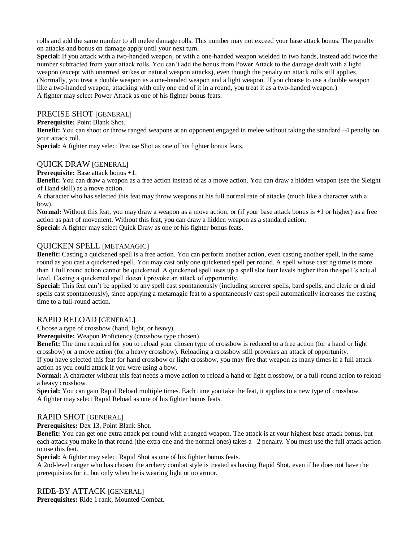rolls and add the same number to all melee damage rolls. This number may not exceed your base attack bonus. The penalty on attacks and bonus on damage apply until your next turn.

**Special:** If you attack with a two-handed weapon, or with a one-handed weapon wielded in two hands, instead add twice the number subtracted from your attack rolls. You can't add the bonus from Power Attack to the damage dealt with a light weapon (except with unarmed strikes or natural weapon attacks), even though the penalty on attack rolls still applies. (Normally, you treat a double weapon as a one-handed weapon and a light weapon. If you choose to use a double weapon like a two-handed weapon, attacking with only one end of it in a round, you treat it as a two-handed weapon.) A fighter may select Power Attack as one of his fighter bonus feats.

#### PRECISE SHOT [GENERAL]

#### **Prerequisite:** Point Blank Shot.

**Benefit:** You can shoot or throw ranged weapons at an opponent engaged in melee without taking the standard –4 penalty on your attack roll.

**Special:** A fighter may select Precise Shot as one of his fighter bonus feats.

### QUICK DRAW [GENERAL]

**Prerequisite:** Base attack bonus +1.

**Benefit:** You can draw a weapon as a free action instead of as a move action. You can draw a hidden weapon (see the Sleight of Hand skill) as a move action.

A character who has selected this feat may throw weapons at his full normal rate of attacks (much like a character with a bow).

**Normal:** Without this feat, you may draw a weapon as a move action, or (if your base attack bonus is +1 or higher) as a free action as part of movement. Without this feat, you can draw a hidden weapon as a standard action.

**Special:** A fighter may select Quick Draw as one of his fighter bonus feats.

# QUICKEN SPELL [METAMAGIC]

**Benefit:** Casting a quickened spell is a free action. You can perform another action, even casting another spell, in the same round as you cast a quickened spell. You may cast only one quickened spell per round. A spell whose casting time is more than 1 full round action cannot be quickened. A quickened spell uses up a spell slot four levels higher than the spell's actual level. Casting a quickened spell doesn't provoke an attack of opportunity.

**Special:** This feat can't be applied to any spell cast spontaneously (including sorcerer spells, bard spells, and cleric or druid spells cast spontaneously), since applying a metamagic feat to a spontaneously cast spell automatically increases the casting time to a full-round action.

# RAPID RELOAD [GENERAL]

Choose a type of crossbow (hand, light, or heavy).

**Prerequisite:** Weapon Proficiency (crossbow type chosen).

**Benefit:** The time required for you to reload your chosen type of crossbow is reduced to a free action (for a hand or light crossbow) or a move action (for a heavy crossbow). Reloading a crossbow still provokes an attack of opportunity.

If you have selected this feat for hand crossbow or light crossbow, you may fire that weapon as many times in a full attack action as you could attack if you were using a bow.

**Normal:** A character without this feat needs a move action to reload a hand or light crossbow, or a full-round action to reload a heavy crossbow.

**Special:** You can gain Rapid Reload multiple times. Each time you take the feat, it applies to a new type of crossbow. A fighter may select Rapid Reload as one of his fighter bonus feats.

# RAPID SHOT [GENERAL]

**Prerequisites:** Dex 13, Point Blank Shot.

**Benefit:** You can get one extra attack per round with a ranged weapon. The attack is at your highest base attack bonus, but each attack you make in that round (the extra one and the normal ones) takes a –2 penalty. You must use the full attack action to use this feat.

**Special:** A fighter may select Rapid Shot as one of his fighter bonus feats.

A 2nd-level ranger who has chosen the archery combat style is treated as having Rapid Shot, even if he does not have the prerequisites for it, but only when he is wearing light or no armor.

RIDE-BY ATTACK [GENERAL]

**Prerequisites:** Ride 1 rank, Mounted Combat.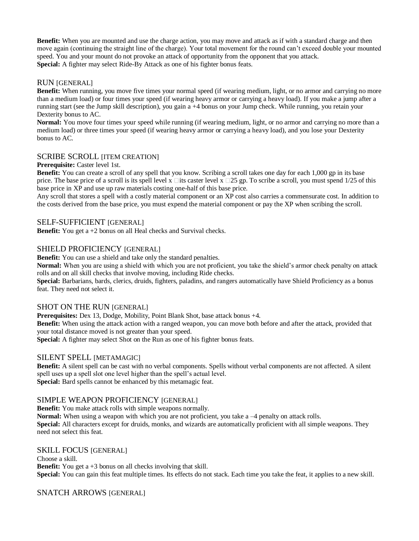**Benefit:** When you are mounted and use the charge action, you may move and attack as if with a standard charge and then move again (continuing the straight line of the charge). Your total movement for the round can't exceed double your mounted speed. You and your mount do not provoke an attack of opportunity from the opponent that you attack. **Special:** A fighter may select Ride-By Attack as one of his fighter bonus feats.

# RUN [GENERAL]

**Benefit:** When running, you move five times your normal speed (if wearing medium, light, or no armor and carrying no more than a medium load) or four times your speed (if wearing heavy armor or carrying a heavy load). If you make a jump after a running start (see the Jump skill description), you gain a +4 bonus on your Jump check. While running, you retain your Dexterity bonus to AC.

**Normal:** You move four times your speed while running (if wearing medium, light, or no armor and carrying no more than a medium load) or three times your speed (if wearing heavy armor or carrying a heavy load), and you lose your Dexterity bonus to AC.

# SCRIBE SCROLL [ITEM CREATION]

**Prerequisite:** Caster level 1st.

**Benefit:** You can create a scroll of any spell that you know. Scribing a scroll takes one day for each 1,000 gp in its base price. The base price of a scroll is its spell level x  $\Box$  its caster level x  $\Box$  25 gp. To scribe a scroll, you must spend 1/25 of this base price in XP and use up raw materials costing one-half of this base price.

Any scroll that stores a spell with a costly material component or an XP cost also carries a commensurate cost. In addition to the costs derived from the base price, you must expend the material component or pay the XP when scribing the scroll.

### SELF-SUFFICIENT [GENERAL]

**Benefit:** You get a +2 bonus on all Heal checks and Survival checks.

### SHIELD PROFICIENCY [GENERAL]

**Benefit:** You can use a shield and take only the standard penalties.

**Normal:** When you are using a shield with which you are not proficient, you take the shield's armor check penalty on attack rolls and on all skill checks that involve moving, including Ride checks.

**Special:** Barbarians, bards, clerics, druids, fighters, paladins, and rangers automatically have Shield Proficiency as a bonus feat. They need not select it.

#### SHOT ON THE RUN [GENERAL]

**Prerequisites:** Dex 13, Dodge, Mobility, Point Blank Shot, base attack bonus +4. **Benefit:** When using the attack action with a ranged weapon, you can move both before and after the attack, provided that your total distance moved is not greater than your speed. **Special:** A fighter may select Shot on the Run as one of his fighter bonus feats.

# SILENT SPELL [METAMAGIC]

**Benefit:** A silent spell can be cast with no verbal components. Spells without verbal components are not affected. A silent spell uses up a spell slot one level higher than the spell's actual level. **Special:** Bard spells cannot be enhanced by this metamagic feat.

# SIMPLE WEAPON PROFICIENCY [GENERAL]

**Benefit:** You make attack rolls with simple weapons normally.

**Normal:** When using a weapon with which you are not proficient, you take a  $-4$  penalty on attack rolls.

**Special:** All characters except for druids, monks, and wizards are automatically proficient with all simple weapons. They need not select this feat.

#### SKILL FOCUS [GENERAL]

Choose a skill. **Benefit:** You get a +3 bonus on all checks involving that skill. **Special:** You can gain this feat multiple times. Its effects do not stack. Each time you take the feat, it applies to a new skill.

# SNATCH ARROWS [GENERAL]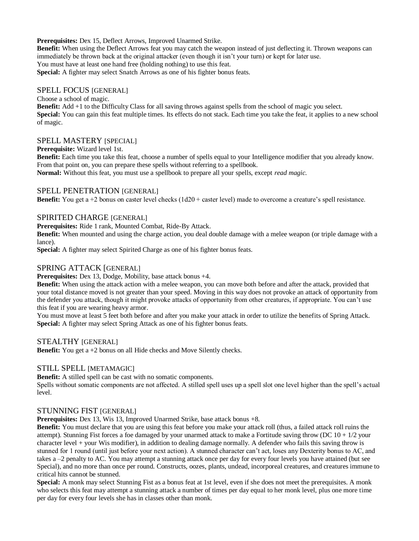**Prerequisites:** Dex 15, Deflect Arrows, Improved Unarmed Strike.

**Benefit:** When using the Deflect Arrows feat you may catch the weapon instead of just deflecting it. Thrown weapons can immediately be thrown back at the original attacker (even though it isn't your turn) or kept for later use. You must have at least one hand free (holding nothing) to use this feat.

**Special:** A fighter may select Snatch Arrows as one of his fighter bonus feats.

### SPELL FOCUS [GENERAL]

Choose a school of magic.

**Benefit:** Add +1 to the Difficulty Class for all saving throws against spells from the school of magic you select. **Special:** You can gain this feat multiple times. Its effects do not stack. Each time you take the feat, it applies to a new school of magic.

# SPELL MASTERY [SPECIAL]

**Prerequisite:** Wizard level 1st.

**Benefit:** Each time you take this feat, choose a number of spells equal to your Intelligence modifier that you already know. From that point on, you can prepare these spells without referring to a spellbook.

**Normal:** Without this feat, you must use a spellbook to prepare all your spells, except *read magic.*

### SPELL PENETRATION [GENERAL]

**Benefit:** You get a +2 bonus on caster level checks (1d20 + caster level) made to overcome a creature's spell resistance.

### SPIRITED CHARGE [GENERAL]

**Prerequisites:** Ride 1 rank, Mounted Combat, Ride-By Attack.

**Benefit:** When mounted and using the charge action, you deal double damage with a melee weapon (or triple damage with a lance).

**Special:** A fighter may select Spirited Charge as one of his fighter bonus feats.

# SPRING ATTACK [GENERAL]

**Prerequisites:** Dex 13, Dodge, Mobility, base attack bonus +4.

**Benefit:** When using the attack action with a melee weapon, you can move both before and after the attack, provided that your total distance moved is not greater than your speed. Moving in this way does not provoke an attack of opportunity from the defender you attack, though it might provoke attacks of opportunity from other creatures, if appropriate. You can't use this feat if you are wearing heavy armor.

You must move at least 5 feet both before and after you make your attack in order to utilize the benefits of Spring Attack. **Special:** A fighter may select Spring Attack as one of his fighter bonus feats.

#### STEALTHY [GENERAL]

**Benefit:** You get a +2 bonus on all Hide checks and Move Silently checks.

# STILL SPELL [METAMAGIC]

**Benefit:** A stilled spell can be cast with no somatic components.

Spells without somatic components are not affected. A stilled spell uses up a spell slot one level higher than the spell's actual level.

#### STUNNING FIST [GENERAL]

**Prerequisites:** Dex 13, Wis 13, Improved Unarmed Strike, base attack bonus +8.

**Benefit:** You must declare that you are using this feat before you make your attack roll (thus, a failed attack roll ruins the attempt). Stunning Fist forces a foe damaged by your unarmed attack to make a Fortitude saving throw (DC  $10 + 1/2$  your character level + your Wis modifier), in addition to dealing damage normally. A defender who fails this saving throw is stunned for 1 round (until just before your next action). A stunned character can't act, loses any Dexterity bonus to AC, and takes a –2 penalty to AC. You may attempt a stunning attack once per day for every four levels you have attained (but see Special), and no more than once per round. Constructs, oozes, plants, undead, incorporeal creatures, and creatures immune to critical hits cannot be stunned.

**Special:** A monk may select Stunning Fist as a bonus feat at 1st level, even if she does not meet the prerequisites. A monk who selects this feat may attempt a stunning attack a number of times per day equal to her monk level, plus one more time per day for every four levels she has in classes other than monk.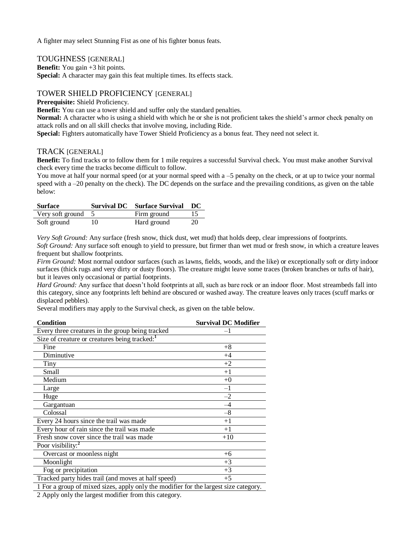A fighter may select Stunning Fist as one of his fighter bonus feats.

### TOUGHNESS [GENERAL]

**Benefit:** You gain +3 hit points.

Special: A character may gain this feat multiple times. Its effects stack.

# TOWER SHIELD PROFICIENCY [GENERAL]

**Prerequisite:** Shield Proficiency.

**Benefit:** You can use a tower shield and suffer only the standard penalties.

**Normal:** A character who is using a shield with which he or she is not proficient takes the shield's armor check penalty on attack rolls and on all skill checks that involve moving, including Ride.

**Special:** Fighters automatically have Tower Shield Proficiency as a bonus feat. They need not select it.

### TRACK [GENERAL]

**Benefit:** To find tracks or to follow them for 1 mile requires a successful Survival check. You must make another Survival check every time the tracks become difficult to follow.

You move at half your normal speed (or at your normal speed with a -5 penalty on the check, or at up to twice your normal speed with a –20 penalty on the check). The DC depends on the surface and the prevailing conditions, as given on the table below:

| Surface            |    | Survival DC Surface Survival DC |    |
|--------------------|----|---------------------------------|----|
| Very soft ground 5 |    | Firm ground                     | 15 |
| Soft ground        | 10 | Hard ground                     | 20 |

*Very Soft Ground:* Any surface (fresh snow, thick dust, wet mud) that holds deep, clear impressions of footprints.

*Soft Ground:* Any surface soft enough to yield to pressure, but firmer than wet mud or fresh snow, in which a creature leaves frequent but shallow footprints.

*Firm Ground:* Most normal outdoor surfaces (such as lawns, fields, woods, and the like) or exceptionally soft or dirty indoor surfaces (thick rugs and very dirty or dusty floors). The creature might leave some traces (broken branches or tufts of hair), but it leaves only occasional or partial footprints.

*Hard Ground:* Any surface that doesn't hold footprints at all, such as bare rock or an indoor floor. Most streambeds fall into this category, since any footprints left behind are obscured or washed away. The creature leaves only traces (scuff marks or displaced pebbles).

Several modifiers may apply to the Survival check, as given on the table below.

| <b>Condition</b>                                                                     | <b>Survival DC Modifier</b> |  |  |  |
|--------------------------------------------------------------------------------------|-----------------------------|--|--|--|
| Every three creatures in the group being tracked                                     |                             |  |  |  |
| Size of creature or creatures being tracked: <sup>1</sup>                            |                             |  |  |  |
| Fine                                                                                 | $+8$                        |  |  |  |
| Diminutive                                                                           | $+4$                        |  |  |  |
| Tiny                                                                                 | $+2$                        |  |  |  |
| Small                                                                                | $+1$                        |  |  |  |
| Medium                                                                               | $+0$                        |  |  |  |
| Large                                                                                | $-1$                        |  |  |  |
| Huge                                                                                 | $-2$                        |  |  |  |
| Gargantuan                                                                           | $-4$                        |  |  |  |
| Colossal                                                                             | $-8$                        |  |  |  |
| Every 24 hours since the trail was made                                              | $+1$                        |  |  |  |
| Every hour of rain since the trail was made                                          | $+1$                        |  |  |  |
| Fresh snow cover since the trail was made                                            | $+10$                       |  |  |  |
| Poor visibility: <sup>2</sup>                                                        |                             |  |  |  |
| Overcast or moonless night                                                           | $+6$                        |  |  |  |
| Moonlight                                                                            | $+3$                        |  |  |  |
| Fog or precipitation                                                                 | $+3$                        |  |  |  |
| Tracked party hides trail (and moves at half speed)                                  | $+5$                        |  |  |  |
| 1 For a group of mixed sizes, apply only the modifier for the largest size category. |                             |  |  |  |

2 Apply only the largest modifier from this category.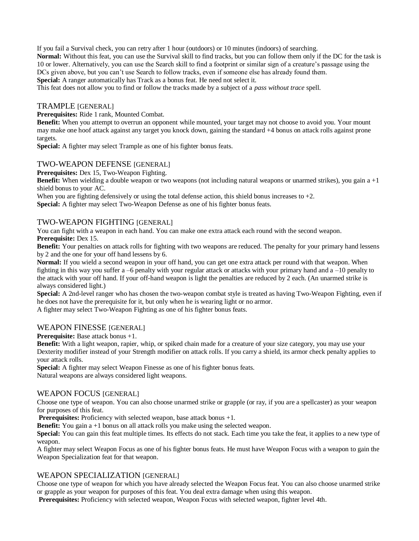If you fail a Survival check, you can retry after 1 hour (outdoors) or 10 minutes (indoors) of searching.

**Normal:** Without this feat, you can use the Survival skill to find tracks, but you can follow them only if the DC for the task is 10 or lower. Alternatively, you can use the Search skill to find a footprint or similar sign of a creature's passage using the DCs given above, but you can't use Search to follow tracks, even if someone else has already found them. **Special:** A ranger automatically has Track as a bonus feat. He need not select it.

This feat does not allow you to find or follow the tracks made by a subject of a *pass without trace* spell.

#### TRAMPLE [GENERAL]

**Prerequisites:** Ride 1 rank, Mounted Combat.

**Benefit:** When you attempt to overrun an opponent while mounted, your target may not choose to avoid you. Your mount may make one hoof attack against any target you knock down, gaining the standard +4 bonus on attack rolls against prone targets.

**Special:** A fighter may select Trample as one of his fighter bonus feats.

#### TWO-WEAPON DEFENSE [GENERAL]

**Prerequisites:** Dex 15, Two-Weapon Fighting.

**Benefit:** When wielding a double weapon or two weapons (not including natural weapons or unarmed strikes), you gain a +1 shield bonus to your AC.

When you are fighting defensively or using the total defense action, this shield bonus increases to +2. **Special:** A fighter may select Two-Weapon Defense as one of his fighter bonus feats.

# TWO-WEAPON FIGHTING [GENERAL]

You can fight with a weapon in each hand. You can make one extra attack each round with the second weapon. **Prerequisite:** Dex 15.

**Benefit:** Your penalties on attack rolls for fighting with two weapons are reduced. The penalty for your primary hand lessens by 2 and the one for your off hand lessens by 6.

**Normal:** If you wield a second weapon in your off hand, you can get one extra attack per round with that weapon. When fighting in this way you suffer a –6 penalty with your regular attack or attacks with your primary hand and a –10 penalty to the attack with your off hand. If your off-hand weapon is light the penalties are reduced by 2 each. (An unarmed strike is always considered light.)

**Special:** A 2nd-level ranger who has chosen the two-weapon combat style is treated as having Two-Weapon Fighting, even if he does not have the prerequisite for it, but only when he is wearing light or no armor.

A fighter may select Two-Weapon Fighting as one of his fighter bonus feats.

## WEAPON FINESSE [GENERAL]

**Prerequisite:** Base attack bonus +1.

**Benefit:** With a light weapon, rapier, whip, or spiked chain made for a creature of your size category, you may use your Dexterity modifier instead of your Strength modifier on attack rolls. If you carry a shield, its armor check penalty applies to your attack rolls.

**Special:** A fighter may select Weapon Finesse as one of his fighter bonus feats.

Natural weapons are always considered light weapons.

#### WEAPON FOCUS [GENERAL]

Choose one type of weapon. You can also choose unarmed strike or grapple (or ray, if you are a spellcaster) as your weapon for purposes of this feat.

**Prerequisites:** Proficiency with selected weapon, base attack bonus +1.

**Benefit:** You gain a +1 bonus on all attack rolls you make using the selected weapon.

**Special:** You can gain this feat multiple times. Its effects do not stack. Each time you take the feat, it applies to a new type of weapon.

A fighter may select Weapon Focus as one of his fighter bonus feats. He must have Weapon Focus with a weapon to gain the Weapon Specialization feat for that weapon.

#### WEAPON SPECIALIZATION [GENERAL]

Choose one type of weapon for which you have already selected the Weapon Focus feat. You can also choose unarmed strike or grapple as your weapon for purposes of this feat. You deal extra damage when using this weapon.

**Prerequisites:** Proficiency with selected weapon, Weapon Focus with selected weapon, fighter level 4th.